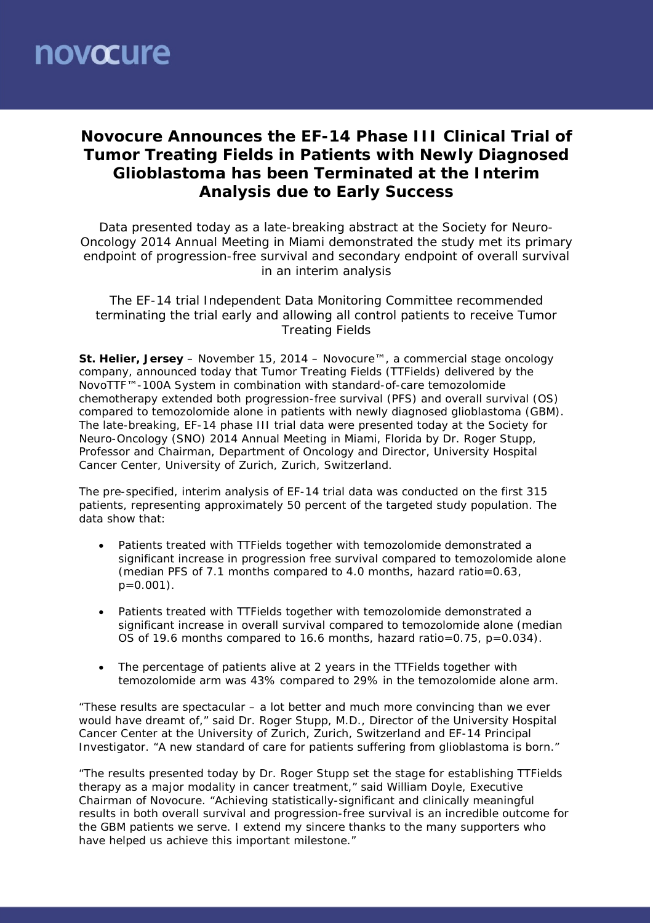# novocure

# **Novocure Announces the EF-14 Phase III Clinical Trial of Tumor Treating Fields in Patients with Newly Diagnosed Glioblastoma has been Terminated at the Interim Analysis due to Early Success**

*Data presented today as a late-breaking abstract at the Society for Neuro-Oncology 2014 Annual Meeting in Miami demonstrated the study met its primary endpoint of progression-free survival and secondary endpoint of overall survival in an interim analysis*

*The EF-14 trial Independent Data Monitoring Committee recommended terminating the trial early and allowing all control patients to receive Tumor Treating Fields* 

**St. Helier, Jersey** – November 15, 2014 – Novocure™, a commercial stage oncology company, announced today that Tumor Treating Fields (TTFields) delivered by the NovoTTF™-100A System in combination with standard-of-care temozolomide chemotherapy extended both progression-free survival (PFS) and overall survival (OS) compared to temozolomide alone in patients with newly diagnosed glioblastoma (GBM). The late-breaking, EF-14 phase III trial data were presented today at the Society for Neuro-Oncology (SNO) 2014 Annual Meeting in Miami, Florida by Dr. Roger Stupp, Professor and Chairman, Department of Oncology and Director, University Hospital Cancer Center, University of Zurich, Zurich, Switzerland.

The pre-specified, interim analysis of EF-14 trial data was conducted on the first 315 patients, representing approximately 50 percent of the targeted study population. The data show that:

- Patients treated with TTFields together with temozolomide demonstrated a significant increase in progression free survival compared to temozolomide alone (median PFS of 7.1 months compared to 4.0 months, hazard ratio=0.63,  $p=0.001$ ).
- Patients treated with TTFields together with temozolomide demonstrated a significant increase in overall survival compared to temozolomide alone (median OS of 19.6 months compared to 16.6 months, hazard ratio=0.75,  $p=0.034$ ).
- The percentage of patients alive at 2 years in the TTFields together with temozolomide arm was 43% compared to 29% in the temozolomide alone arm.

"These results are spectacular – a lot better and much more convincing than we ever would have dreamt of," said Dr. Roger Stupp, M.D., Director of the University Hospital Cancer Center at the University of Zurich, Zurich, Switzerland and EF-14 Principal Investigator. "A new standard of care for patients suffering from glioblastoma is born."

"The results presented today by Dr. Roger Stupp set the stage for establishing TTFields therapy as a major modality in cancer treatment," said William Doyle, Executive Chairman of Novocure. "Achieving statistically-significant and clinically meaningful results in both overall survival and progression-free survival is an incredible outcome for the GBM patients we serve. I extend my sincere thanks to the many supporters who have helped us achieve this important milestone."